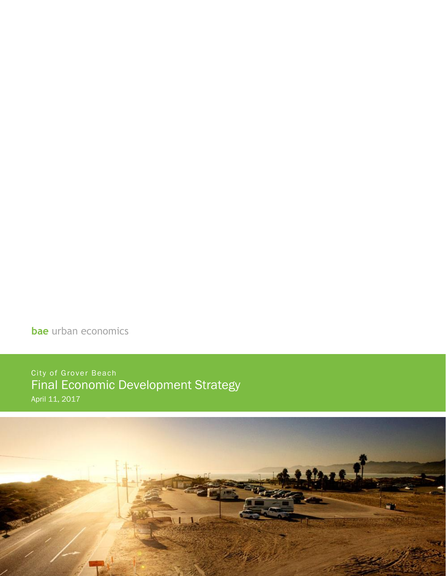**bae** urban economics

City of Grover Beach Final Economic Development Strategy April 11, 2017

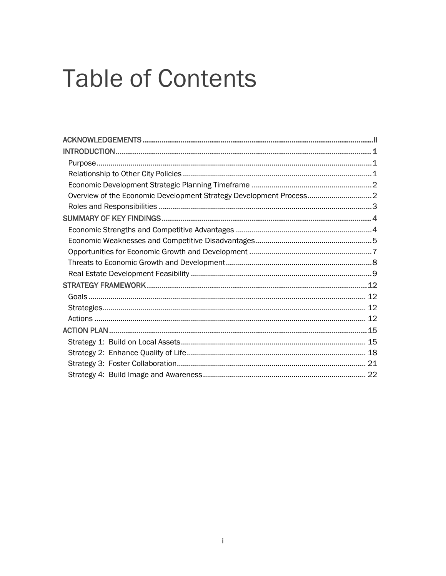# **Table of Contents**

| Overview of the Economic Development Strategy Development Process2 |  |
|--------------------------------------------------------------------|--|
|                                                                    |  |
|                                                                    |  |
|                                                                    |  |
|                                                                    |  |
|                                                                    |  |
|                                                                    |  |
|                                                                    |  |
|                                                                    |  |
|                                                                    |  |
|                                                                    |  |
|                                                                    |  |
|                                                                    |  |
|                                                                    |  |
|                                                                    |  |
|                                                                    |  |
|                                                                    |  |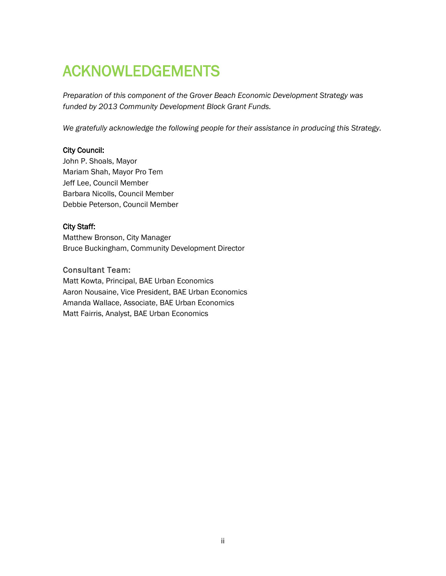# <span id="page-2-0"></span>ACKNOWLEDGEMENTS

*Preparation of this component of the Grover Beach Economic Development Strategy was funded by 2013 Community Development Block Grant Funds.*

*We gratefully acknowledge the following people for their assistance in producing this Strategy.*

#### City Council:

John P. Shoals, Mayor Mariam Shah, Mayor Pro Tem Jeff Lee, Council Member Barbara Nicolls, Council Member Debbie Peterson, Council Member

#### City Staff:

Matthew Bronson, City Manager Bruce Buckingham, Community Development Director

#### Consultant Team:

Matt Kowta, Principal, BAE Urban Economics Aaron Nousaine, Vice President, BAE Urban Economics Amanda Wallace, Associate, BAE Urban Economics Matt Fairris, Analyst, BAE Urban Economics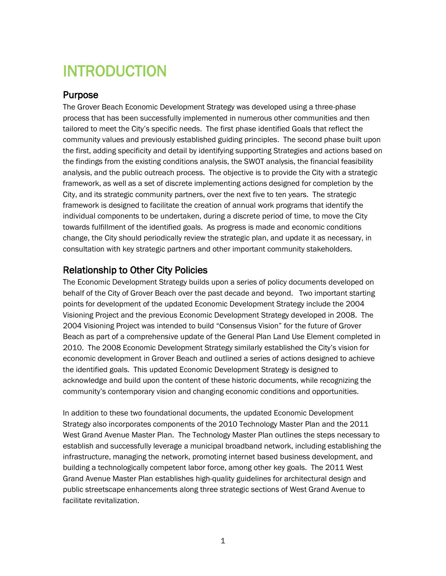# <span id="page-3-0"></span>INTRODUCTION

# <span id="page-3-1"></span>Purpose

The Grover Beach Economic Development Strategy was developed using a three-phase process that has been successfully implemented in numerous other communities and then tailored to meet the City's specific needs. The first phase identified Goals that reflect the community values and previously established guiding principles. The second phase built upon the first, adding specificity and detail by identifying supporting Strategies and actions based on the findings from the existing conditions analysis, the SWOT analysis, the financial feasibility analysis, and the public outreach process. The objective is to provide the City with a strategic framework, as well as a set of discrete implementing actions designed for completion by the City, and its strategic community partners, over the next five to ten years. The strategic framework is designed to facilitate the creation of annual work programs that identify the individual components to be undertaken, during a discrete period of time, to move the City towards fulfillment of the identified goals. As progress is made and economic conditions change, the City should periodically review the strategic plan, and update it as necessary, in consultation with key strategic partners and other important community stakeholders.

# <span id="page-3-2"></span>Relationship to Other City Policies

The Economic Development Strategy builds upon a series of policy documents developed on behalf of the City of Grover Beach over the past decade and beyond. Two important starting points for development of the updated Economic Development Strategy include the 2004 Visioning Project and the previous Economic Development Strategy developed in 2008. The 2004 Visioning Project was intended to build "Consensus Vision" for the future of Grover Beach as part of a comprehensive update of the General Plan Land Use Element completed in 2010. The 2008 Economic Development Strategy similarly established the City's vision for economic development in Grover Beach and outlined a series of actions designed to achieve the identified goals. This updated Economic Development Strategy is designed to acknowledge and build upon the content of these historic documents, while recognizing the community's contemporary vision and changing economic conditions and opportunities.

In addition to these two foundational documents, the updated Economic Development Strategy also incorporates components of the 2010 Technology Master Plan and the 2011 West Grand Avenue Master Plan. The Technology Master Plan outlines the steps necessary to establish and successfully leverage a municipal broadband network, including establishing the infrastructure, managing the network, promoting internet based business development, and building a technologically competent labor force, among other key goals. The 2011 West Grand Avenue Master Plan establishes high-quality guidelines for architectural design and public streetscape enhancements along three strategic sections of West Grand Avenue to facilitate revitalization.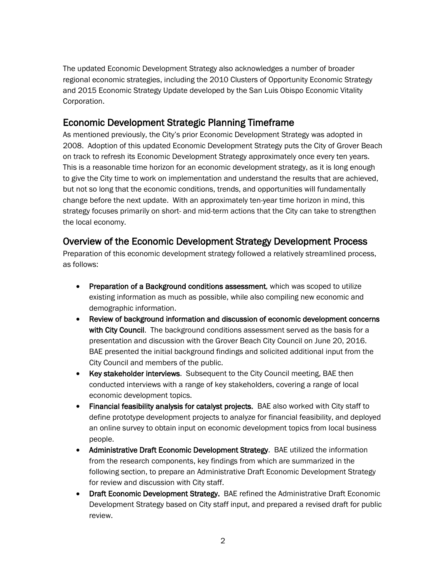The updated Economic Development Strategy also acknowledges a number of broader regional economic strategies, including the 2010 Clusters of Opportunity Economic Strategy and 2015 Economic Strategy Update developed by the San Luis Obispo Economic Vitality Corporation.

# <span id="page-4-0"></span>Economic Development Strategic Planning Timeframe

As mentioned previously, the City's prior Economic Development Strategy was adopted in 2008. Adoption of this updated Economic Development Strategy puts the City of Grover Beach on track to refresh its Economic Development Strategy approximately once every ten years. This is a reasonable time horizon for an economic development strategy, as it is long enough to give the City time to work on implementation and understand the results that are achieved, but not so long that the economic conditions, trends, and opportunities will fundamentally change before the next update. With an approximately ten-year time horizon in mind, this strategy focuses primarily on short- and mid-term actions that the City can take to strengthen the local economy.

# <span id="page-4-1"></span>Overview of the Economic Development Strategy Development Process

Preparation of this economic development strategy followed a relatively streamlined process, as follows:

- **Preparation of a Background conditions assessment, which was scoped to utilize** existing information as much as possible, while also compiling new economic and demographic information.
- Review of background information and discussion of economic development concerns with City Council. The background conditions assessment served as the basis for a presentation and discussion with the Grover Beach City Council on June 20, 2016. BAE presented the initial background findings and solicited additional input from the City Council and members of the public.
- Key stakeholder interviews. Subsequent to the City Council meeting, BAE then conducted interviews with a range of key stakeholders, covering a range of local economic development topics.
- Financial feasibility analysis for catalyst projects. BAE also worked with City staff to define prototype development projects to analyze for financial feasibility, and deployed an online survey to obtain input on economic development topics from local business people.
- Administrative Draft Economic Development Strategy. BAE utilized the information from the research components, key findings from which are summarized in the following section, to prepare an Administrative Draft Economic Development Strategy for review and discussion with City staff.
- Draft Economic Development Strategy. BAE refined the Administrative Draft Economic Development Strategy based on City staff input, and prepared a revised draft for public review.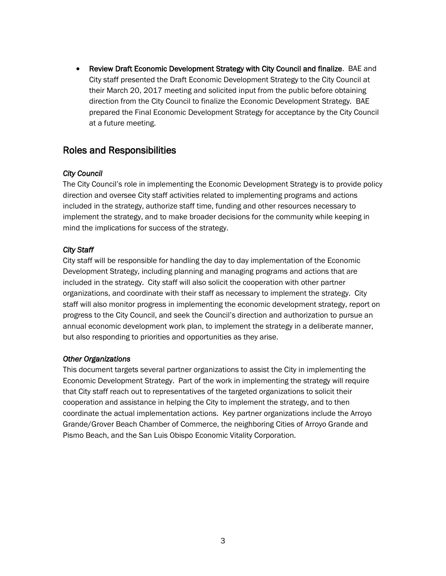• Review Draft Economic Development Strategy with City Council and finalize. BAE and City staff presented the Draft Economic Development Strategy to the City Council at their March 20, 2017 meeting and solicited input from the public before obtaining direction from the City Council to finalize the Economic Development Strategy. BAE prepared the Final Economic Development Strategy for acceptance by the City Council at a future meeting.

### <span id="page-5-0"></span>Roles and Responsibilities

#### *City Council*

The City Council's role in implementing the Economic Development Strategy is to provide policy direction and oversee City staff activities related to implementing programs and actions included in the strategy, authorize staff time, funding and other resources necessary to implement the strategy, and to make broader decisions for the community while keeping in mind the implications for success of the strategy.

#### *City Staff*

City staff will be responsible for handling the day to day implementation of the Economic Development Strategy, including planning and managing programs and actions that are included in the strategy. City staff will also solicit the cooperation with other partner organizations, and coordinate with their staff as necessary to implement the strategy. City staff will also monitor progress in implementing the economic development strategy, report on progress to the City Council, and seek the Council's direction and authorization to pursue an annual economic development work plan, to implement the strategy in a deliberate manner, but also responding to priorities and opportunities as they arise.

#### *Other Organizations*

This document targets several partner organizations to assist the City in implementing the Economic Development Strategy. Part of the work in implementing the strategy will require that City staff reach out to representatives of the targeted organizations to solicit their cooperation and assistance in helping the City to implement the strategy, and to then coordinate the actual implementation actions. Key partner organizations include the Arroyo Grande/Grover Beach Chamber of Commerce, the neighboring Cities of Arroyo Grande and Pismo Beach, and the San Luis Obispo Economic Vitality Corporation.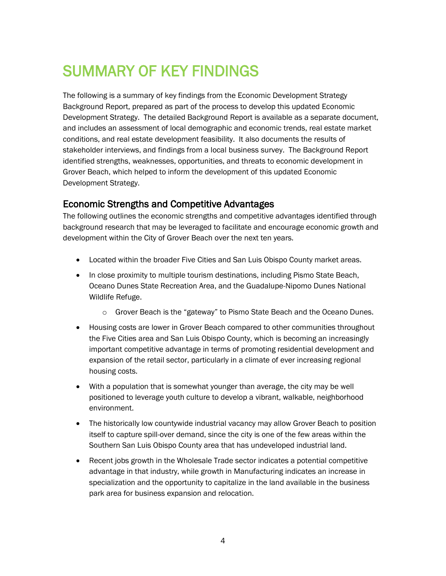# <span id="page-6-0"></span>SUMMARY OF KEY FINDINGS

The following is a summary of key findings from the Economic Development Strategy Background Report, prepared as part of the process to develop this updated Economic Development Strategy. The detailed Background Report is available as a separate document, and includes an assessment of local demographic and economic trends, real estate market conditions, and real estate development feasibility. It also documents the results of stakeholder interviews, and findings from a local business survey. The Background Report identified strengths, weaknesses, opportunities, and threats to economic development in Grover Beach, which helped to inform the development of this updated Economic Development Strategy.

# <span id="page-6-1"></span>Economic Strengths and Competitive Advantages

The following outlines the economic strengths and competitive advantages identified through background research that may be leveraged to facilitate and encourage economic growth and development within the City of Grover Beach over the next ten years.

- Located within the broader Five Cities and San Luis Obispo County market areas.
- In close proximity to multiple tourism destinations, including Pismo State Beach, Oceano Dunes State Recreation Area, and the Guadalupe-Nipomo Dunes National Wildlife Refuge.
	- o Grover Beach is the "gateway" to Pismo State Beach and the Oceano Dunes.
- Housing costs are lower in Grover Beach compared to other communities throughout the Five Cities area and San Luis Obispo County, which is becoming an increasingly important competitive advantage in terms of promoting residential development and expansion of the retail sector, particularly in a climate of ever increasing regional housing costs.
- With a population that is somewhat younger than average, the city may be well positioned to leverage youth culture to develop a vibrant, walkable, neighborhood environment.
- The historically low countywide industrial vacancy may allow Grover Beach to position itself to capture spill-over demand, since the city is one of the few areas within the Southern San Luis Obispo County area that has undeveloped industrial land.
- Recent jobs growth in the Wholesale Trade sector indicates a potential competitive advantage in that industry, while growth in Manufacturing indicates an increase in specialization and the opportunity to capitalize in the land available in the business park area for business expansion and relocation.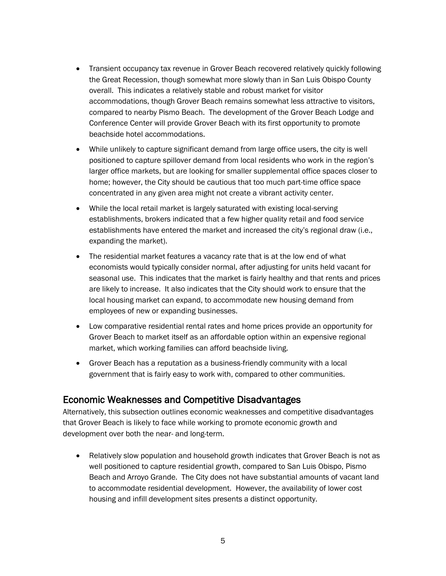- Transient occupancy tax revenue in Grover Beach recovered relatively quickly following the Great Recession, though somewhat more slowly than in San Luis Obispo County overall. This indicates a relatively stable and robust market for visitor accommodations, though Grover Beach remains somewhat less attractive to visitors, compared to nearby Pismo Beach. The development of the Grover Beach Lodge and Conference Center will provide Grover Beach with its first opportunity to promote beachside hotel accommodations.
- While unlikely to capture significant demand from large office users, the city is well positioned to capture spillover demand from local residents who work in the region's larger office markets, but are looking for smaller supplemental office spaces closer to home; however, the City should be cautious that too much part-time office space concentrated in any given area might not create a vibrant activity center.
- While the local retail market is largely saturated with existing local-serving establishments, brokers indicated that a few higher quality retail and food service establishments have entered the market and increased the city's regional draw (i.e., expanding the market).
- The residential market features a vacancy rate that is at the low end of what economists would typically consider normal, after adjusting for units held vacant for seasonal use. This indicates that the market is fairly healthy and that rents and prices are likely to increase. It also indicates that the City should work to ensure that the local housing market can expand, to accommodate new housing demand from employees of new or expanding businesses.
- Low comparative residential rental rates and home prices provide an opportunity for Grover Beach to market itself as an affordable option within an expensive regional market, which working families can afford beachside living.
- Grover Beach has a reputation as a business-friendly community with a local government that is fairly easy to work with, compared to other communities.

# <span id="page-7-0"></span>Economic Weaknesses and Competitive Disadvantages

Alternatively, this subsection outlines economic weaknesses and competitive disadvantages that Grover Beach is likely to face while working to promote economic growth and development over both the near- and long-term.

• Relatively slow population and household growth indicates that Grover Beach is not as well positioned to capture residential growth, compared to San Luis Obispo, Pismo Beach and Arroyo Grande. The City does not have substantial amounts of vacant land to accommodate residential development. However, the availability of lower cost housing and infill development sites presents a distinct opportunity.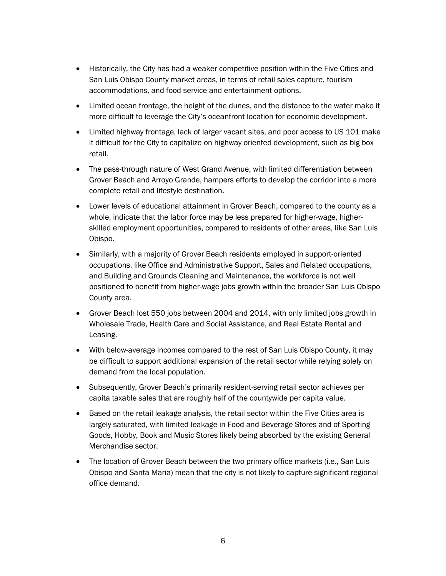- Historically, the City has had a weaker competitive position within the Five Cities and San Luis Obispo County market areas, in terms of retail sales capture, tourism accommodations, and food service and entertainment options.
- Limited ocean frontage, the height of the dunes, and the distance to the water make it more difficult to leverage the City's oceanfront location for economic development.
- Limited highway frontage, lack of larger vacant sites, and poor access to US 101 make it difficult for the City to capitalize on highway oriented development, such as big box retail.
- The pass-through nature of West Grand Avenue, with limited differentiation between Grover Beach and Arroyo Grande, hampers efforts to develop the corridor into a more complete retail and lifestyle destination.
- Lower levels of educational attainment in Grover Beach, compared to the county as a whole, indicate that the labor force may be less prepared for higher-wage, higherskilled employment opportunities, compared to residents of other areas, like San Luis Obispo.
- Similarly, with a majority of Grover Beach residents employed in support-oriented occupations, like Office and Administrative Support, Sales and Related occupations, and Building and Grounds Cleaning and Maintenance, the workforce is not well positioned to benefit from higher-wage jobs growth within the broader San Luis Obispo County area.
- Grover Beach lost 550 jobs between 2004 and 2014, with only limited jobs growth in Wholesale Trade, Health Care and Social Assistance, and Real Estate Rental and Leasing.
- With below-average incomes compared to the rest of San Luis Obispo County, it may be difficult to support additional expansion of the retail sector while relying solely on demand from the local population.
- Subsequently, Grover Beach's primarily resident-serving retail sector achieves per capita taxable sales that are roughly half of the countywide per capita value.
- Based on the retail leakage analysis, the retail sector within the Five Cities area is largely saturated, with limited leakage in Food and Beverage Stores and of Sporting Goods, Hobby, Book and Music Stores likely being absorbed by the existing General Merchandise sector.
- The location of Grover Beach between the two primary office markets (i.e., San Luis Obispo and Santa Maria) mean that the city is not likely to capture significant regional office demand.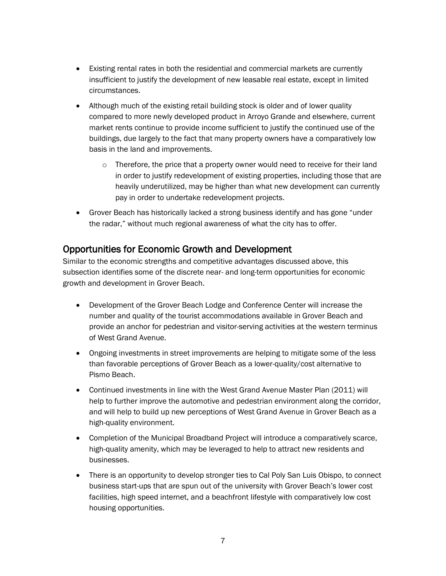- Existing rental rates in both the residential and commercial markets are currently insufficient to justify the development of new leasable real estate, except in limited circumstances.
- Although much of the existing retail building stock is older and of lower quality compared to more newly developed product in Arroyo Grande and elsewhere, current market rents continue to provide income sufficient to justify the continued use of the buildings, due largely to the fact that many property owners have a comparatively low basis in the land and improvements.
	- $\circ$  Therefore, the price that a property owner would need to receive for their land in order to justify redevelopment of existing properties, including those that are heavily underutilized, may be higher than what new development can currently pay in order to undertake redevelopment projects.
- Grover Beach has historically lacked a strong business identify and has gone "under the radar," without much regional awareness of what the city has to offer.

# <span id="page-9-0"></span>Opportunities for Economic Growth and Development

Similar to the economic strengths and competitive advantages discussed above, this subsection identifies some of the discrete near- and long-term opportunities for economic growth and development in Grover Beach.

- Development of the Grover Beach Lodge and Conference Center will increase the number and quality of the tourist accommodations available in Grover Beach and provide an anchor for pedestrian and visitor-serving activities at the western terminus of West Grand Avenue.
- Ongoing investments in street improvements are helping to mitigate some of the less than favorable perceptions of Grover Beach as a lower-quality/cost alternative to Pismo Beach.
- Continued investments in line with the West Grand Avenue Master Plan (2011) will help to further improve the automotive and pedestrian environment along the corridor, and will help to build up new perceptions of West Grand Avenue in Grover Beach as a high-quality environment.
- Completion of the Municipal Broadband Project will introduce a comparatively scarce, high-quality amenity, which may be leveraged to help to attract new residents and businesses.
- There is an opportunity to develop stronger ties to Cal Poly San Luis Obispo, to connect business start-ups that are spun out of the university with Grover Beach's lower cost facilities, high speed internet, and a beachfront lifestyle with comparatively low cost housing opportunities.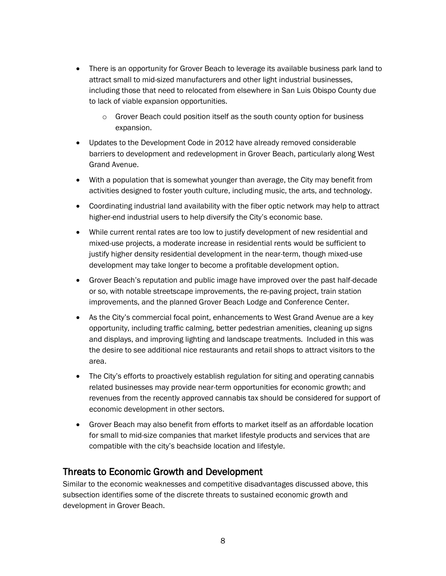- There is an opportunity for Grover Beach to leverage its available business park land to attract small to mid-sized manufacturers and other light industrial businesses, including those that need to relocated from elsewhere in San Luis Obispo County due to lack of viable expansion opportunities.
	- $\circ$  Grover Beach could position itself as the south county option for business expansion.
- Updates to the Development Code in 2012 have already removed considerable barriers to development and redevelopment in Grover Beach, particularly along West Grand Avenue.
- With a population that is somewhat younger than average, the City may benefit from activities designed to foster youth culture, including music, the arts, and technology.
- Coordinating industrial land availability with the fiber optic network may help to attract higher-end industrial users to help diversify the City's economic base.
- While current rental rates are too low to justify development of new residential and mixed-use projects, a moderate increase in residential rents would be sufficient to justify higher density residential development in the near-term, though mixed-use development may take longer to become a profitable development option.
- Grover Beach's reputation and public image have improved over the past half-decade or so, with notable streetscape improvements, the re-paving project, train station improvements, and the planned Grover Beach Lodge and Conference Center.
- As the City's commercial focal point, enhancements to West Grand Avenue are a key opportunity, including traffic calming, better pedestrian amenities, cleaning up signs and displays, and improving lighting and landscape treatments. Included in this was the desire to see additional nice restaurants and retail shops to attract visitors to the area.
- The City's efforts to proactively establish regulation for siting and operating cannabis related businesses may provide near-term opportunities for economic growth; and revenues from the recently approved cannabis tax should be considered for support of economic development in other sectors.
- Grover Beach may also benefit from efforts to market itself as an affordable location for small to mid-size companies that market lifestyle products and services that are compatible with the city's beachside location and lifestyle.

# <span id="page-10-0"></span>Threats to Economic Growth and Development

Similar to the economic weaknesses and competitive disadvantages discussed above, this subsection identifies some of the discrete threats to sustained economic growth and development in Grover Beach.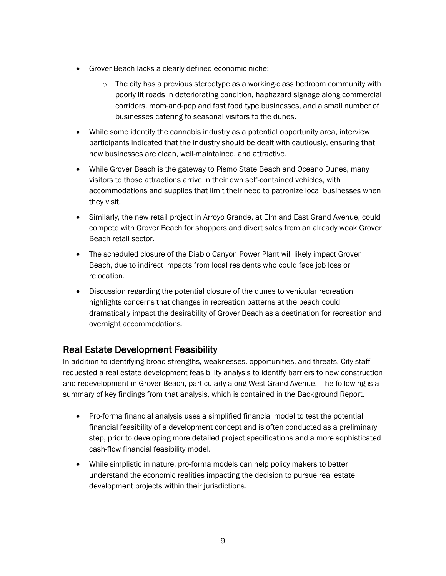- Grover Beach lacks a clearly defined economic niche:
	- $\circ$  The city has a previous stereotype as a working-class bedroom community with poorly lit roads in deteriorating condition, haphazard signage along commercial corridors, mom-and-pop and fast food type businesses, and a small number of businesses catering to seasonal visitors to the dunes.
- While some identify the cannabis industry as a potential opportunity area, interview participants indicated that the industry should be dealt with cautiously, ensuring that new businesses are clean, well-maintained, and attractive.
- While Grover Beach is the gateway to Pismo State Beach and Oceano Dunes, many visitors to those attractions arrive in their own self-contained vehicles, with accommodations and supplies that limit their need to patronize local businesses when they visit.
- Similarly, the new retail project in Arroyo Grande, at Elm and East Grand Avenue, could compete with Grover Beach for shoppers and divert sales from an already weak Grover Beach retail sector.
- The scheduled closure of the Diablo Canyon Power Plant will likely impact Grover Beach, due to indirect impacts from local residents who could face job loss or relocation.
- Discussion regarding the potential closure of the dunes to vehicular recreation highlights concerns that changes in recreation patterns at the beach could dramatically impact the desirability of Grover Beach as a destination for recreation and overnight accommodations.

# <span id="page-11-0"></span>Real Estate Development Feasibility

In addition to identifying broad strengths, weaknesses, opportunities, and threats, City staff requested a real estate development feasibility analysis to identify barriers to new construction and redevelopment in Grover Beach, particularly along West Grand Avenue. The following is a summary of key findings from that analysis, which is contained in the Background Report.

- Pro-forma financial analysis uses a simplified financial model to test the potential financial feasibility of a development concept and is often conducted as a preliminary step, prior to developing more detailed project specifications and a more sophisticated cash-flow financial feasibility model.
- While simplistic in nature, pro-forma models can help policy makers to better understand the economic realities impacting the decision to pursue real estate development projects within their jurisdictions.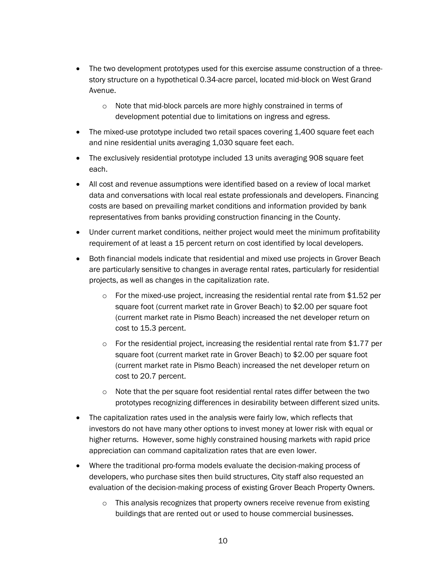- The two development prototypes used for this exercise assume construction of a threestory structure on a hypothetical 0.34-acre parcel, located mid-block on West Grand Avenue.
	- o Note that mid-block parcels are more highly constrained in terms of development potential due to limitations on ingress and egress.
- The mixed-use prototype included two retail spaces covering 1,400 square feet each and nine residential units averaging 1,030 square feet each.
- The exclusively residential prototype included 13 units averaging 908 square feet each.
- All cost and revenue assumptions were identified based on a review of local market data and conversations with local real estate professionals and developers. Financing costs are based on prevailing market conditions and information provided by bank representatives from banks providing construction financing in the County.
- Under current market conditions, neither project would meet the minimum profitability requirement of at least a 15 percent return on cost identified by local developers.
- Both financial models indicate that residential and mixed use projects in Grover Beach are particularly sensitive to changes in average rental rates, particularly for residential projects, as well as changes in the capitalization rate.
	- $\circ$  For the mixed-use project, increasing the residential rental rate from \$1.52 per square foot (current market rate in Grover Beach) to \$2.00 per square foot (current market rate in Pismo Beach) increased the net developer return on cost to 15.3 percent.
	- $\circ$  For the residential project, increasing the residential rental rate from \$1.77 per square foot (current market rate in Grover Beach) to \$2.00 per square foot (current market rate in Pismo Beach) increased the net developer return on cost to 20.7 percent.
	- $\circ$  Note that the per square foot residential rental rates differ between the two prototypes recognizing differences in desirability between different sized units.
- The capitalization rates used in the analysis were fairly low, which reflects that investors do not have many other options to invest money at lower risk with equal or higher returns. However, some highly constrained housing markets with rapid price appreciation can command capitalization rates that are even lower.
- Where the traditional pro-forma models evaluate the decision-making process of developers, who purchase sites then build structures, City staff also requested an evaluation of the decision-making process of existing Grover Beach Property Owners.
	- $\circ$  This analysis recognizes that property owners receive revenue from existing buildings that are rented out or used to house commercial businesses.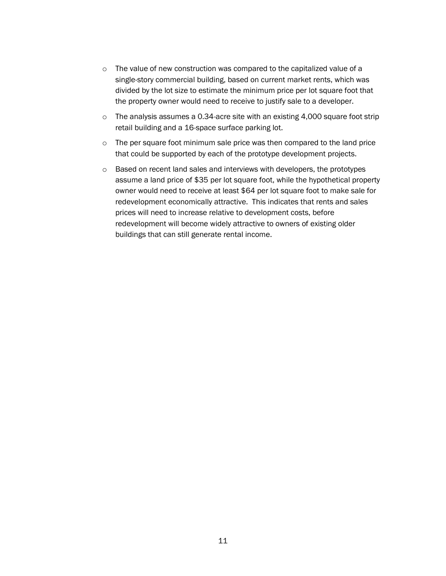- o The value of new construction was compared to the capitalized value of a single-story commercial building, based on current market rents, which was divided by the lot size to estimate the minimum price per lot square foot that the property owner would need to receive to justify sale to a developer.
- $\circ$  The analysis assumes a 0.34-acre site with an existing 4,000 square foot strip retail building and a 16-space surface parking lot.
- $\circ$  The per square foot minimum sale price was then compared to the land price that could be supported by each of the prototype development projects.
- o Based on recent land sales and interviews with developers, the prototypes assume a land price of \$35 per lot square foot, while the hypothetical property owner would need to receive at least \$64 per lot square foot to make sale for redevelopment economically attractive. This indicates that rents and sales prices will need to increase relative to development costs, before redevelopment will become widely attractive to owners of existing older buildings that can still generate rental income.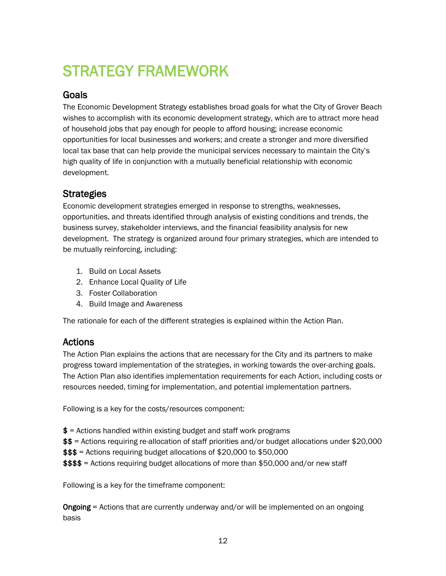# <span id="page-14-0"></span>STRATEGY FRAMEWORK

# <span id="page-14-1"></span>**Goals**

The Economic Development Strategy establishes broad goals for what the City of Grover Beach wishes to accomplish with its economic development strategy, which are to attract more head of household jobs that pay enough for people to afford housing; increase economic opportunities for local businesses and workers; and create a stronger and more diversified local tax base that can help provide the municipal services necessary to maintain the City's high quality of life in conjunction with a mutually beneficial relationship with economic development.

# <span id="page-14-2"></span>**Strategies**

Economic development strategies emerged in response to strengths, weaknesses, opportunities, and threats identified through analysis of existing conditions and trends, the business survey, stakeholder interviews, and the financial feasibility analysis for new development. The strategy is organized around four primary strategies, which are intended to be mutually reinforcing, including:

- 1. Build on Local Assets
- 2. Enhance Local Quality of Life
- 3. Foster Collaboration
- 4. Build Image and Awareness

The rationale for each of the different strategies is explained within the Action Plan.

# <span id="page-14-3"></span>Actions

The Action Plan explains the actions that are necessary for the City and its partners to make progress toward implementation of the strategies, in working towards the over-arching goals. The Action Plan also identifies implementation requirements for each Action, including costs or resources needed, timing for implementation, and potential implementation partners.

Following is a key for the costs/resources component:

- $$ =$  Actions handled within existing budget and staff work programs
- \$\$ = Actions requiring re-allocation of staff priorities and/or budget allocations under \$20,000
- \$\$\$ = Actions requiring budget allocations of \$20,000 to \$50,000
- \$\$\$\$ = Actions requiring budget allocations of more than \$50,000 and/or new staff

Following is a key for the timeframe component:

Ongoing = Actions that are currently underway and/or will be implemented on an ongoing basis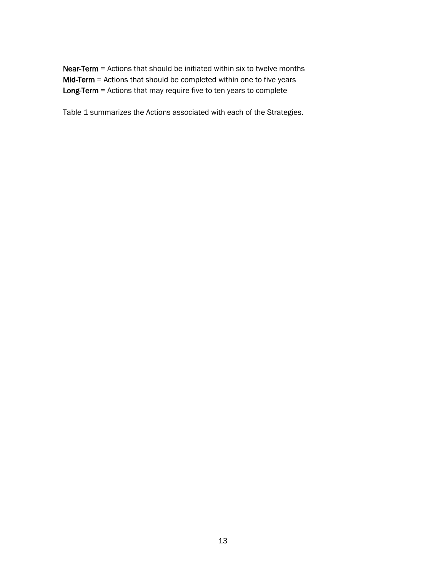Near-Term = Actions that should be initiated within six to twelve months Mid-Term = Actions that should be completed within one to five years Long-Term = Actions that may require five to ten years to complete

Table 1 summarizes the Actions associated with each of the Strategies.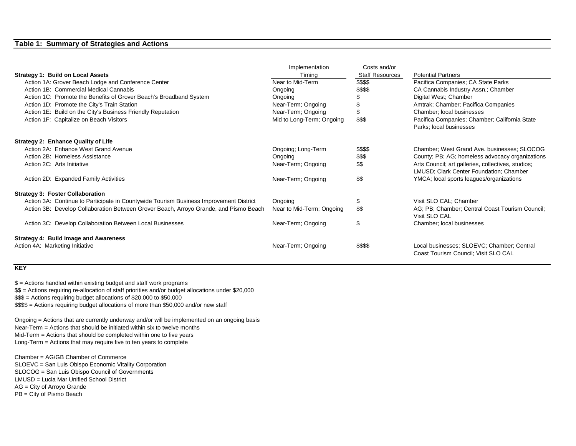#### **Table 1: Summary of Strategies and Actions**

|                                                                                        | Implementation            | Costs and/or           |                                                                                    |
|----------------------------------------------------------------------------------------|---------------------------|------------------------|------------------------------------------------------------------------------------|
| <b>Strategy 1: Build on Local Assets</b>                                               | Timing                    | <b>Staff Resources</b> | <b>Potential Partners</b>                                                          |
| Action 1A: Grover Beach Lodge and Conference Center                                    | Near to Mid-Term          | \$\$\$\$               | Pacifica Companies; CA State Parks                                                 |
| Action 1B: Commercial Medical Cannabis                                                 | Ongoing                   | \$\$\$\$               | CA Cannabis Industry Assn.; Chamber                                                |
| Action 1C: Promote the Benefits of Grover Beach's Broadband System                     | Ongoing                   |                        | Digital West; Chamber                                                              |
| Action 1D: Promote the City's Train Station                                            | Near-Term; Ongoing        |                        | Amtrak; Chamber; Pacifica Companies                                                |
| Action 1E: Build on the City's Business Friendly Reputation                            | Near-Term; Ongoing        | \$.                    | Chamber; local businesses                                                          |
| Action 1F: Capitalize on Beach Visitors                                                | Mid to Long-Term; Ongoing | \$\$\$                 | Pacifica Companies; Chamber; California State                                      |
|                                                                                        |                           |                        | Parks; local businesses                                                            |
| <b>Strategy 2: Enhance Quality of Life</b>                                             |                           |                        |                                                                                    |
| Action 2A: Enhance West Grand Avenue                                                   | Ongoing; Long-Term        | \$\$\$\$               | Chamber; West Grand Ave. businesses; SLOCOG                                        |
| Action 2B: Homeless Assistance                                                         | Ongoing                   | \$\$\$                 | County; PB; AG; homeless advocacy organizations                                    |
| Action 2C: Arts Initiative                                                             | Near-Term; Ongoing        | \$\$                   | Arts Council; art galleries, collectives, studios;                                 |
|                                                                                        |                           |                        | LMUSD; Clark Center Foundation; Chamber                                            |
| Action 2D: Expanded Family Activities                                                  | Near-Term; Ongoing        | \$\$                   | YMCA; local sports leagues/organizations                                           |
| <b>Strategy 3: Foster Collaboration</b>                                                |                           |                        |                                                                                    |
| Action 3A: Continue to Participate in Countywide Tourism Business Improvement District | Ongoing                   | S                      | Visit SLO CAL; Chamber                                                             |
| Action 3B: Develop Collaboration Between Grover Beach, Arroyo Grande, and Pismo Beach  | Near to Mid-Term; Ongoing | \$\$                   | AG; PB; Chamber; Central Coast Tourism Council;<br>Visit SLO CAL                   |
| Action 3C: Develop Collaboration Between Local Businesses                              | Near-Term; Ongoing        | \$                     | Chamber; local businesses                                                          |
| Strategy 4: Build Image and Awareness                                                  |                           |                        |                                                                                    |
| Action 4A: Marketing Initiative                                                        | Near-Term; Ongoing        | \$\$\$\$               | Local businesses; SLOEVC; Chamber; Central<br>Coast Tourism Council; Visit SLO CAL |

#### **KEY**

 $$ =$  Actions handled within existing budget and staff work programs

\$\$ = Actions requiring re-allocation of staff priorities and/or budget allocations under \$20,000

\$\$\$ = Actions requiring budget allocations of \$20,000 to \$50,000

\$\$\$\$ = Actions requiring budget allocations of more than \$50,000 and/or new staff

Ongoing = Actions that are currently underway and/or will be implemented on an ongoing basis Near-Term = Actions that should be initiated within six to twelve months Mid-Term = Actions that should be completed within one to five years Long-Term = Actions that may require five to ten years to complete

Chamber = AG/GB Chamber of Commerce SLOEVC = San Luis Obispo Economic Vitality Corporation SLOCOG = San Luis Obispo Council of Governments LMUSD = Lucia Mar Unified School District AG = City of Arroyo Grande PB = City of Pismo Beach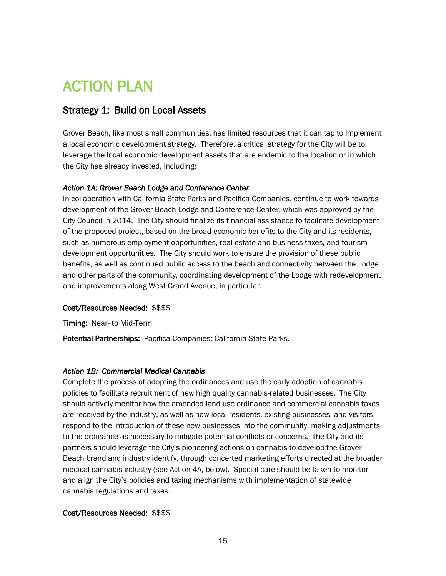# <span id="page-17-0"></span>ACTION PLAN

# <span id="page-17-1"></span>Strategy 1: Build on Local Assets

Grover Beach, like most small communities, has limited resources that it can tap to implement a local economic development strategy. Therefore, a critical strategy for the City will be to leverage the local economic development assets that are endemic to the location or in which the City has already invested, including:

#### *Action 1A: Grover Beach Lodge and Conference Center*

In collaboration with California State Parks and Pacifica Companies, continue to work towards development of the Grover Beach Lodge and Conference Center, which was approved by the City Council in 2014. The City should finalize its financial assistance to facilitate development of the proposed project, based on the broad economic benefits to the City and its residents, such as numerous employment opportunities, real estate and business taxes, and tourism development opportunities. The City should work to ensure the provision of these public benefits, as well as continued public access to the beach and connectivity between the Lodge and other parts of the community, coordinating development of the Lodge with redevelopment and improvements along West Grand Avenue, in particular.

#### Cost/Resources Needed: \$\$\$\$

Timing: Near- to Mid-Term

Potential Partnerships: Pacifica Companies; California State Parks.

#### *Action 1B: Commercial Medical Cannabis*

Complete the process of adopting the ordinances and use the early adoption of cannabis policies to facilitate recruitment of new high quality cannabis-related businesses. The City should actively monitor how the amended land use ordinance and commercial cannabis taxes are received by the industry, as well as how local residents, existing businesses, and visitors respond to the introduction of these new businesses into the community, making adjustments to the ordinance as necessary to mitigate potential conflicts or concerns. The City and its partners should leverage the City's pioneering actions on cannabis to develop the Grover Beach brand and industry identify, through concerted marketing efforts directed at the broader medical cannabis industry (see Action 4A, below). Special care should be taken to monitor and align the City's policies and taxing mechanisms with implementation of statewide cannabis regulations and taxes.

#### Cost/Resources Needed: \$\$\$\$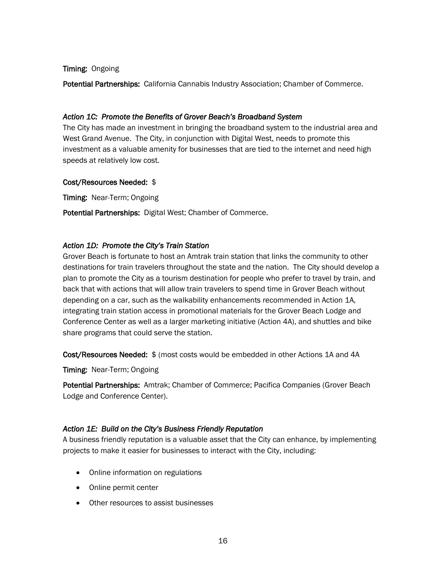#### Timing: Ongoing

Potential Partnerships: California Cannabis Industry Association; Chamber of Commerce.

#### *Action 1C: Promote the Benefits of Grover Beach's Broadband System*

The City has made an investment in bringing the broadband system to the industrial area and West Grand Avenue. The City, in conjunction with Digital West, needs to promote this investment as a valuable amenity for businesses that are tied to the internet and need high speeds at relatively low cost.

#### Cost/Resources Needed: \$

Timing: Near-Term; Ongoing

Potential Partnerships: Digital West; Chamber of Commerce.

#### *Action 1D: Promote the City's Train Station*

Grover Beach is fortunate to host an Amtrak train station that links the community to other destinations for train travelers throughout the state and the nation. The City should develop a plan to promote the City as a tourism destination for people who prefer to travel by train, and back that with actions that will allow train travelers to spend time in Grover Beach without depending on a car, such as the walkability enhancements recommended in Action 1A, integrating train station access in promotional materials for the Grover Beach Lodge and Conference Center as well as a larger marketing initiative (Action 4A), and shuttles and bike share programs that could serve the station.

Cost/Resources Needed: \$ (most costs would be embedded in other Actions 1A and 4A

Timing: Near-Term; Ongoing

Potential Partnerships: Amtrak; Chamber of Commerce; Pacifica Companies (Grover Beach Lodge and Conference Center).

#### *Action 1E: Build on the City's Business Friendly Reputation*

A business friendly reputation is a valuable asset that the City can enhance, by implementing projects to make it easier for businesses to interact with the City, including:

- Online information on regulations
- Online permit center
- Other resources to assist businesses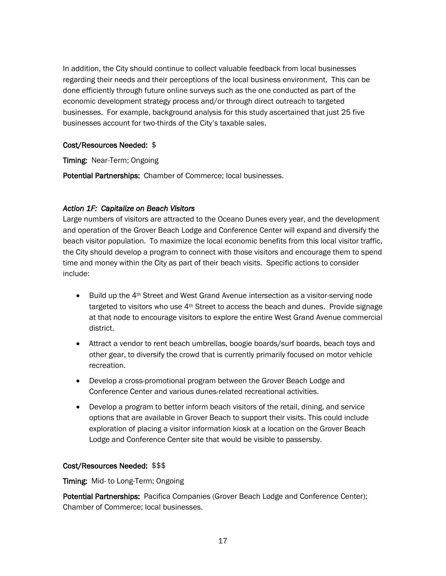In addition, the City should continue to collect valuable feedback from local businesses regarding their needs and their perceptions of the local business environment. This can be done efficiently through future online surveys such as the one conducted as part of the economic development strategy process and/or through direct outreach to targeted businesses. For example, background analysis for this study ascertained that just 25 five businesses account for two-thirds of the City's taxable sales.

#### Cost/Resources Needed: \$

Timing: Near-Term; Ongoing

Potential Partnerships: Chamber of Commerce; local businesses.

#### *Action 1F: Capitalize on Beach Visitors*

Large numbers of visitors are attracted to the Oceano Dunes every year, and the development and operation of the Grover Beach Lodge and Conference Center will expand and diversify the beach visitor population. To maximize the local economic benefits from this local visitor traffic, the City should develop a program to connect with those visitors and encourage them to spend time and money within the City as part of their beach visits. Specific actions to consider include:

- Build up the 4<sup>th</sup> Street and West Grand Avenue intersection as a visitor-serving node targeted to visitors who use 4<sup>th</sup> Street to access the beach and dunes. Provide signage at that node to encourage visitors to explore the entire West Grand Avenue commercial district.
- Attract a vendor to rent beach umbrellas, boogie boards/surf boards, beach toys and other gear, to diversify the crowd that is currently primarily focused on motor vehicle recreation.
- Develop a cross-promotional program between the Grover Beach Lodge and Conference Center and various dunes-related recreational activities.
- Develop a program to better inform beach visitors of the retail, dining, and service options that are available in Grover Beach to support their visits. This could include exploration of placing a visitor information kiosk at a location on the Grover Beach Lodge and Conference Center site that would be visible to passersby.

#### Cost/Resources Needed: \$\$\$

Timing: Mid- to Long-Term; Ongoing

Potential Partnerships: Pacifica Companies (Grover Beach Lodge and Conference Center); Chamber of Commerce; local businesses.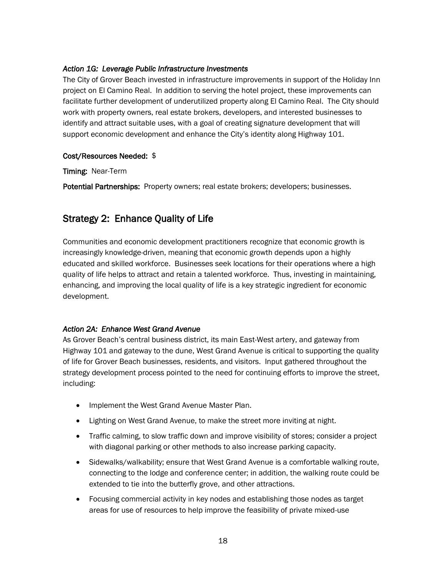#### *Action 1G: Leverage Public Infrastructure Investments*

The City of Grover Beach invested in infrastructure improvements in support of the Holiday Inn project on El Camino Real. In addition to serving the hotel project, these improvements can facilitate further development of underutilized property along El Camino Real. The City should work with property owners, real estate brokers, developers, and interested businesses to identify and attract suitable uses, with a goal of creating signature development that will support economic development and enhance the City's identity along Highway 101.

#### Cost/Resources Needed: \$

Timing: Near-Term

Potential Partnerships: Property owners; real estate brokers; developers; businesses.

# <span id="page-20-0"></span>Strategy 2: Enhance Quality of Life

Communities and economic development practitioners recognize that economic growth is increasingly knowledge-driven, meaning that economic growth depends upon a highly educated and skilled workforce. Businesses seek locations for their operations where a high quality of life helps to attract and retain a talented workforce. Thus, investing in maintaining, enhancing, and improving the local quality of life is a key strategic ingredient for economic development.

#### *Action 2A: Enhance West Grand Avenue*

As Grover Beach's central business district, its main East-West artery, and gateway from Highway 101 and gateway to the dune, West Grand Avenue is critical to supporting the quality of life for Grover Beach businesses, residents, and visitors. Input gathered throughout the strategy development process pointed to the need for continuing efforts to improve the street, including:

- Implement the West Grand Avenue Master Plan.
- Lighting on West Grand Avenue, to make the street more inviting at night.
- Traffic calming, to slow traffic down and improve visibility of stores; consider a project with diagonal parking or other methods to also increase parking capacity.
- Sidewalks/walkability; ensure that West Grand Avenue is a comfortable walking route, connecting to the lodge and conference center; in addition, the walking route could be extended to tie into the butterfly grove, and other attractions.
- Focusing commercial activity in key nodes and establishing those nodes as target areas for use of resources to help improve the feasibility of private mixed-use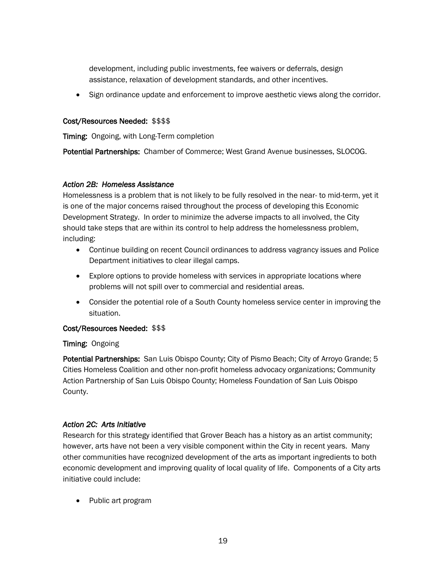development, including public investments, fee waivers or deferrals, design assistance, relaxation of development standards, and other incentives.

• Sign ordinance update and enforcement to improve aesthetic views along the corridor.

#### Cost/Resources Needed: \$\$\$\$

Timing: Ongoing, with Long-Term completion

Potential Partnerships: Chamber of Commerce; West Grand Avenue businesses, SLOCOG.

#### *Action 2B: Homeless Assistance*

Homelessness is a problem that is not likely to be fully resolved in the near- to mid-term, yet it is one of the major concerns raised throughout the process of developing this Economic Development Strategy. In order to minimize the adverse impacts to all involved, the City should take steps that are within its control to help address the homelessness problem, including:

- Continue building on recent Council ordinances to address vagrancy issues and Police Department initiatives to clear illegal camps.
- Explore options to provide homeless with services in appropriate locations where problems will not spill over to commercial and residential areas.
- Consider the potential role of a South County homeless service center in improving the situation.

#### Cost/Resources Needed: \$\$\$

#### Timing: Ongoing

Potential Partnerships: San Luis Obispo County; City of Pismo Beach; City of Arroyo Grande; 5 Cities Homeless Coalition and other non-profit homeless advocacy organizations; Community Action Partnership of San Luis Obispo County; Homeless Foundation of San Luis Obispo County.

#### *Action 2C: Arts Initiative*

Research for this strategy identified that Grover Beach has a history as an artist community; however, arts have not been a very visible component within the City in recent years. Many other communities have recognized development of the arts as important ingredients to both economic development and improving quality of local quality of life. Components of a City arts initiative could include:

• Public art program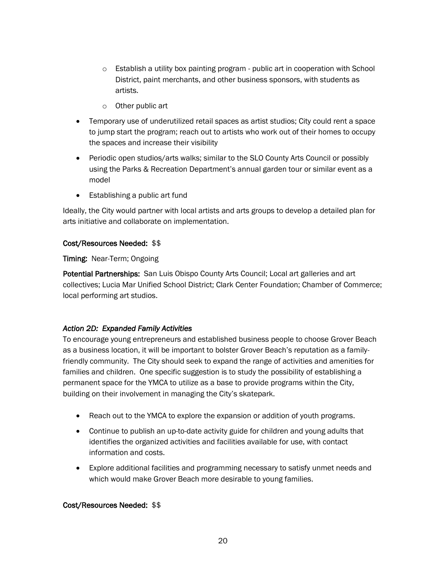- $\circ$  Establish a utility box painting program public art in cooperation with School District, paint merchants, and other business sponsors, with students as artists.
- o Other public art
- Temporary use of underutilized retail spaces as artist studios; City could rent a space to jump start the program; reach out to artists who work out of their homes to occupy the spaces and increase their visibility
- Periodic open studios/arts walks; similar to the SLO County Arts Council or possibly using the Parks & Recreation Department's annual garden tour or similar event as a model
- Establishing a public art fund

Ideally, the City would partner with local artists and arts groups to develop a detailed plan for arts initiative and collaborate on implementation.

#### Cost/Resources Needed: \$\$

Timing: Near-Term; Ongoing

Potential Partnerships: San Luis Obispo County Arts Council; Local art galleries and art collectives; Lucia Mar Unified School District; Clark Center Foundation; Chamber of Commerce; local performing art studios.

#### *Action 2D: Expanded Family Activities*

To encourage young entrepreneurs and established business people to choose Grover Beach as a business location, it will be important to bolster Grover Beach's reputation as a familyfriendly community. The City should seek to expand the range of activities and amenities for families and children. One specific suggestion is to study the possibility of establishing a permanent space for the YMCA to utilize as a base to provide programs within the City, building on their involvement in managing the City's skatepark.

- Reach out to the YMCA to explore the expansion or addition of youth programs.
- Continue to publish an up-to-date activity guide for children and young adults that identifies the organized activities and facilities available for use, with contact information and costs.
- Explore additional facilities and programming necessary to satisfy unmet needs and which would make Grover Beach more desirable to young families.

#### Cost/Resources Needed: \$\$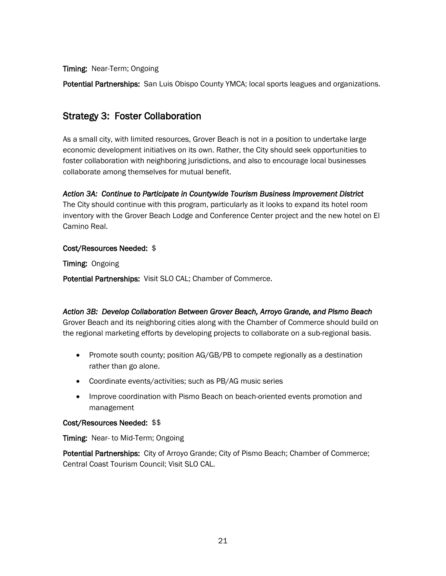Timing: Near-Term; Ongoing

Potential Partnerships: San Luis Obispo County YMCA; local sports leagues and organizations.

# <span id="page-23-0"></span>Strategy 3: Foster Collaboration

As a small city, with limited resources, Grover Beach is not in a position to undertake large economic development initiatives on its own. Rather, the City should seek opportunities to foster collaboration with neighboring jurisdictions, and also to encourage local businesses collaborate among themselves for mutual benefit.

#### *Action 3A: Continue to Participate in Countywide Tourism Business Improvement District*

The City should continue with this program, particularly as it looks to expand its hotel room inventory with the Grover Beach Lodge and Conference Center project and the new hotel on El Camino Real.

#### Cost/Resources Needed: \$

Timing: Ongoing

Potential Partnerships: Visit SLO CAL; Chamber of Commerce.

*Action 3B: Develop Collaboration Between Grover Beach, Arroyo Grande, and Pismo Beach*  Grover Beach and its neighboring cities along with the Chamber of Commerce should build on

the regional marketing efforts by developing projects to collaborate on a sub-regional basis.

- Promote south county; position AG/GB/PB to compete regionally as a destination rather than go alone.
- Coordinate events/activities; such as PB/AG music series
- Improve coordination with Pismo Beach on beach-oriented events promotion and management

#### Cost/Resources Needed: \$\$

Timing: Near- to Mid-Term; Ongoing

Potential Partnerships: City of Arroyo Grande; City of Pismo Beach; Chamber of Commerce; Central Coast Tourism Council; Visit SLO CAL.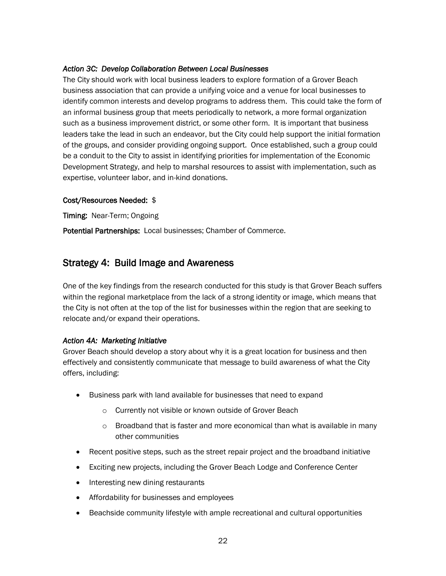#### *Action 3C: Develop Collaboration Between Local Businesses*

The City should work with local business leaders to explore formation of a Grover Beach business association that can provide a unifying voice and a venue for local businesses to identify common interests and develop programs to address them. This could take the form of an informal business group that meets periodically to network, a more formal organization such as a business improvement district, or some other form. It is important that business leaders take the lead in such an endeavor, but the City could help support the initial formation of the groups, and consider providing ongoing support. Once established, such a group could be a conduit to the City to assist in identifying priorities for implementation of the Economic Development Strategy, and help to marshal resources to assist with implementation, such as expertise, volunteer labor, and in-kind donations.

#### Cost/Resources Needed: \$

Timing: Near-Term; Ongoing

Potential Partnerships: Local businesses; Chamber of Commerce.

### <span id="page-24-0"></span>Strategy 4: Build Image and Awareness

One of the key findings from the research conducted for this study is that Grover Beach suffers within the regional marketplace from the lack of a strong identity or image, which means that the City is not often at the top of the list for businesses within the region that are seeking to relocate and/or expand their operations.

#### *Action 4A: Marketing Initiative*

Grover Beach should develop a story about why it is a great location for business and then effectively and consistently communicate that message to build awareness of what the City offers, including:

- Business park with land available for businesses that need to expand
	- o Currently not visible or known outside of Grover Beach
	- $\circ$  Broadband that is faster and more economical than what is available in many other communities
- Recent positive steps, such as the street repair project and the broadband initiative
- Exciting new projects, including the Grover Beach Lodge and Conference Center
- Interesting new dining restaurants
- Affordability for businesses and employees
- Beachside community lifestyle with ample recreational and cultural opportunities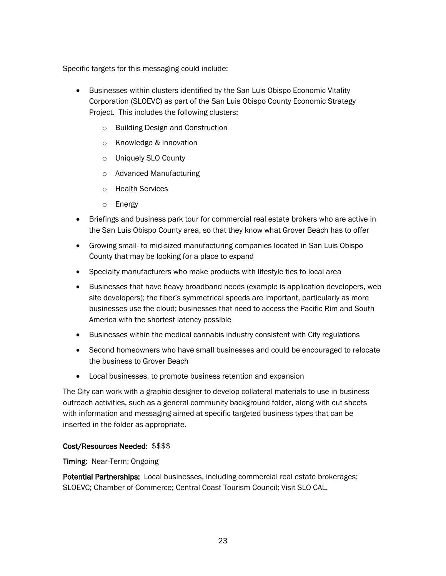Specific targets for this messaging could include:

- Businesses within clusters identified by the San Luis Obispo Economic Vitality Corporation (SLOEVC) as part of the San Luis Obispo County Economic Strategy Project. This includes the following clusters:
	- o Building Design and Construction
	- o Knowledge & Innovation
	- o Uniquely SLO County
	- o Advanced Manufacturing
	- o Health Services
	- o Energy
- Briefings and business park tour for commercial real estate brokers who are active in the San Luis Obispo County area, so that they know what Grover Beach has to offer
- Growing small- to mid-sized manufacturing companies located in San Luis Obispo County that may be looking for a place to expand
- Specialty manufacturers who make products with lifestyle ties to local area
- Businesses that have heavy broadband needs (example is application developers, web site developers); the fiber's symmetrical speeds are important, particularly as more businesses use the cloud; businesses that need to access the Pacific Rim and South America with the shortest latency possible
- Businesses within the medical cannabis industry consistent with City regulations
- Second homeowners who have small businesses and could be encouraged to relocate the business to Grover Beach
- Local businesses, to promote business retention and expansion

The City can work with a graphic designer to develop collateral materials to use in business outreach activities, such as a general community background folder, along with cut sheets with information and messaging aimed at specific targeted business types that can be inserted in the folder as appropriate.

#### Cost/Resources Needed: \$\$\$\$

Timing: Near-Term; Ongoing

Potential Partnerships: Local businesses, including commercial real estate brokerages; SLOEVC; Chamber of Commerce; Central Coast Tourism Council; Visit SLO CAL.